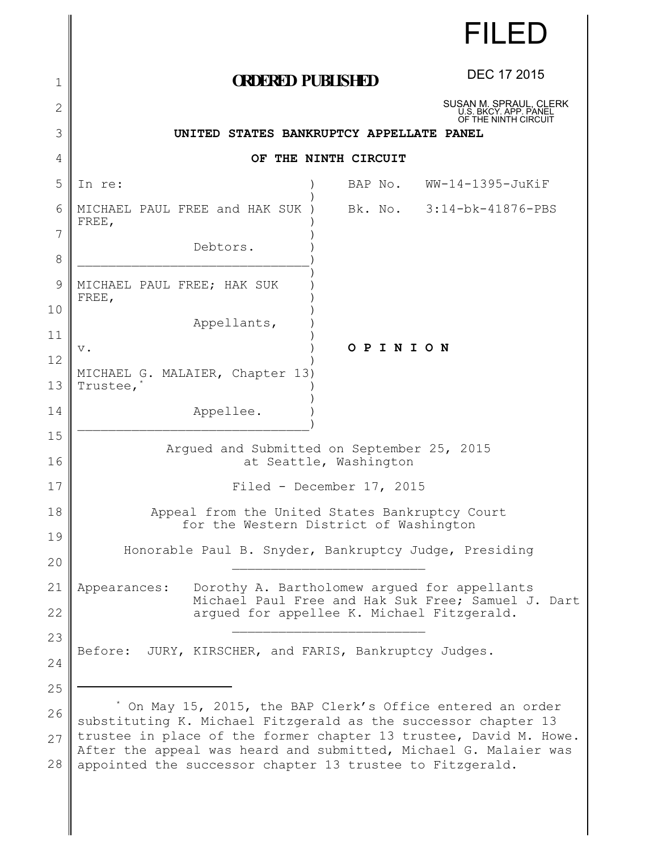|          | <b>FILED</b>                                                                                                                          |
|----------|---------------------------------------------------------------------------------------------------------------------------------------|
| 1        | <b>DEC 17 2015</b><br><b>CRDERED PUBLISHED</b>                                                                                        |
| 2        | SUSAN M. SPRAUL, CLERK<br>U.S. BKCY. APP. PANEL<br>OF THE NINTH CIRCUIT                                                               |
| 3        | UNITED STATES BANKRUPTCY APPELLATE PANEL                                                                                              |
| 4        | OF THE NINTH CIRCUIT                                                                                                                  |
| 5        | BAP No. WW-14-1395-JuKiF<br>In re:                                                                                                    |
| 6        | MICHAEL PAUL FREE and HAK SUK)<br>Bk. No. 3:14-bk-41876-PBS<br>FREE,                                                                  |
| 7<br>8   | Debtors.                                                                                                                              |
| 9        | MICHAEL PAUL FREE; HAK SUK<br>FREE,                                                                                                   |
| 10<br>11 | Appellants,                                                                                                                           |
| 12       | OPINION<br>$V$ .                                                                                                                      |
| 13       | MICHAEL G. MALAIER, Chapter 13)<br>Trustee, <sup>*</sup>                                                                              |
| 14       | Appellee.                                                                                                                             |
| 15<br>16 | Argued and Submitted on September 25, 2015<br>at Seattle, Washington                                                                  |
| 17       | Filed - December 17, 2015                                                                                                             |
| 18       | Appeal from the United States Bankruptcy Court                                                                                        |
| 19       | for the Western District of Washington                                                                                                |
| 20       | Honorable Paul B. Snyder, Bankruptcy Judge, Presiding                                                                                 |
| 21       | Dorothy A. Bartholomew arqued for appellants<br>Appearances:                                                                          |
| 22       | Michael Paul Free and Hak Suk Free; Samuel J. Dart<br>arqued for appellee K. Michael Fitzgerald.                                      |
| 23       | JURY, KIRSCHER, and FARIS, Bankruptcy Judges.<br>Before:                                                                              |
| 24       |                                                                                                                                       |
| 25       |                                                                                                                                       |
| 26       | On May 15, 2015, the BAP Clerk's Office entered an order<br>substituting K. Michael Fitzgerald as the successor chapter 13            |
| 27       | trustee in place of the former chapter 13 trustee, David M. Howe.<br>After the appeal was heard and submitted, Michael G. Malaier was |
| 28       | appointed the successor chapter 13 trustee to Fitzgerald.                                                                             |

 $\mathbf l$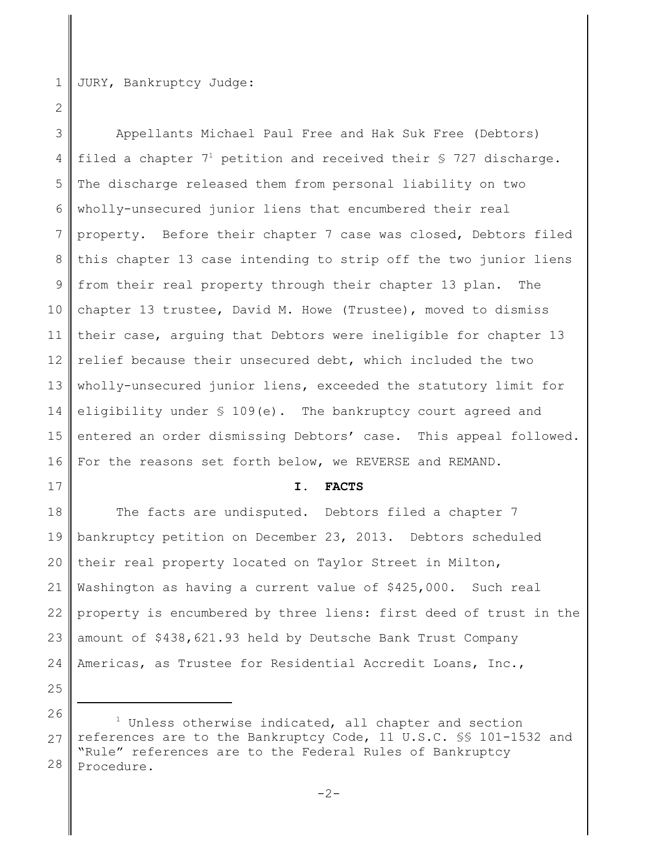1 JURY, Bankruptcy Judge:

2

3 4 5 6 7 8 9 10 11 12 13 14 15 16 Appellants Michael Paul Free and Hak Suk Free (Debtors) filed a chapter  $7^1$  petition and received their § 727 discharge. The discharge released them from personal liability on two wholly-unsecured junior liens that encumbered their real property. Before their chapter 7 case was closed, Debtors filed this chapter 13 case intending to strip off the two junior liens from their real property through their chapter 13 plan. The chapter 13 trustee, David M. Howe (Trustee), moved to dismiss their case, arguing that Debtors were ineligible for chapter 13 relief because their unsecured debt, which included the two wholly-unsecured junior liens, exceeded the statutory limit for eligibility under § 109(e). The bankruptcy court agreed and entered an order dismissing Debtors' case. This appeal followed. For the reasons set forth below, we REVERSE and REMAND.

**I. FACTS**

18 19 20 21 22 23 24 The facts are undisputed. Debtors filed a chapter 7 bankruptcy petition on December 23, 2013. Debtors scheduled their real property located on Taylor Street in Milton, Washington as having a current value of \$425,000. Such real property is encumbered by three liens: first deed of trust in the amount of \$438,621.93 held by Deutsche Bank Trust Company Americas, as Trustee for Residential Accredit Loans, Inc.,

25

<sup>26</sup> 27 28 <sup>1</sup> Unless otherwise indicated, all chapter and section references are to the Bankruptcy Code, 11 U.S.C. §§ 101-1532 and "Rule" references are to the Federal Rules of Bankruptcy Procedure.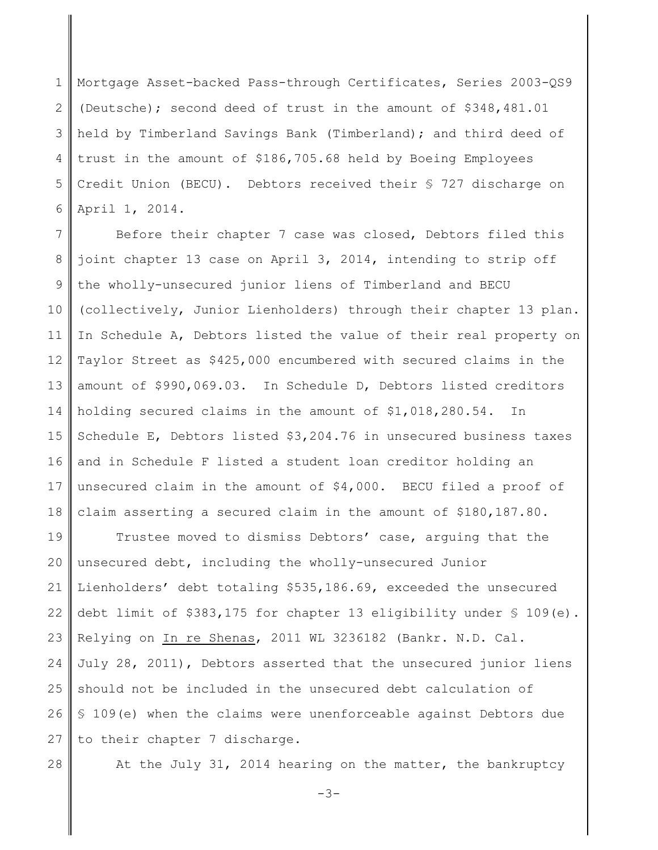1 2 3 4 5 6 Mortgage Asset-backed Pass-through Certificates, Series 2003-QS9 (Deutsche); second deed of trust in the amount of \$348,481.01 held by Timberland Savings Bank (Timberland); and third deed of trust in the amount of \$186,705.68 held by Boeing Employees Credit Union (BECU). Debtors received their § 727 discharge on April 1, 2014.

7 8 9 10 11 12 13 14 15 16 17 18 Before their chapter 7 case was closed, Debtors filed this joint chapter 13 case on April 3, 2014, intending to strip off the wholly-unsecured junior liens of Timberland and BECU (collectively, Junior Lienholders) through their chapter 13 plan. In Schedule A, Debtors listed the value of their real property on Taylor Street as \$425,000 encumbered with secured claims in the amount of \$990,069.03. In Schedule D, Debtors listed creditors holding secured claims in the amount of \$1,018,280.54. In Schedule E, Debtors listed \$3,204.76 in unsecured business taxes and in Schedule F listed a student loan creditor holding an unsecured claim in the amount of \$4,000. BECU filed a proof of claim asserting a secured claim in the amount of \$180,187.80.

19 20 21 22 23 24 25 26 27 Trustee moved to dismiss Debtors' case, arguing that the unsecured debt, including the wholly-unsecured Junior Lienholders' debt totaling \$535,186.69, exceeded the unsecured debt limit of  $$383,175$  for chapter 13 eligibility under  $$109(e)$ . Relying on In re Shenas, 2011 WL 3236182 (Bankr. N.D. Cal. July 28, 2011), Debtors asserted that the unsecured junior liens should not be included in the unsecured debt calculation of § 109(e) when the claims were unenforceable against Debtors due to their chapter 7 discharge.

28

At the July 31, 2014 hearing on the matter, the bankruptcy

 $-3-$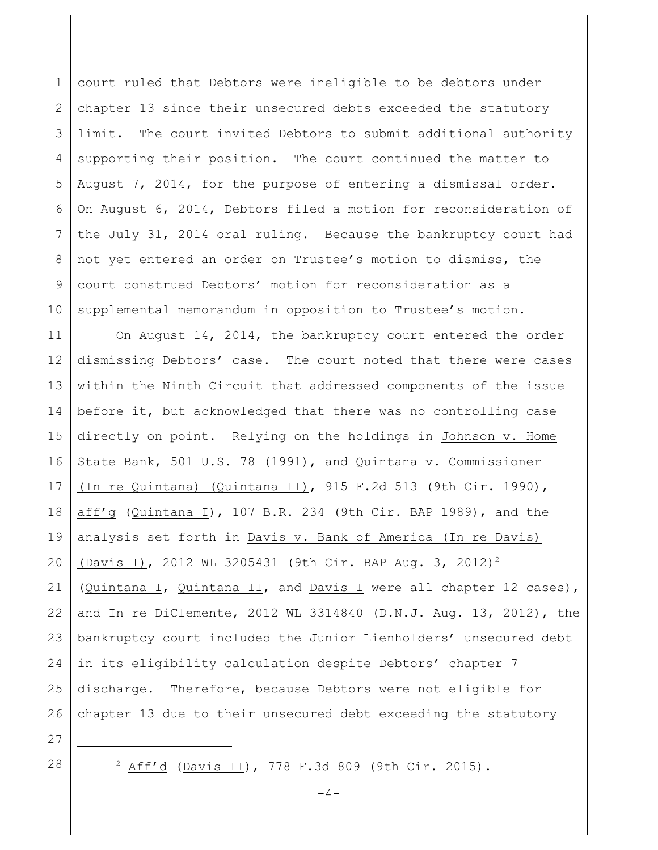1 2 3 4 5 6 7 8 9 10 court ruled that Debtors were ineligible to be debtors under chapter 13 since their unsecured debts exceeded the statutory limit. The court invited Debtors to submit additional authority supporting their position. The court continued the matter to August 7, 2014, for the purpose of entering a dismissal order. On August 6, 2014, Debtors filed a motion for reconsideration of the July 31, 2014 oral ruling. Because the bankruptcy court had not yet entered an order on Trustee's motion to dismiss, the court construed Debtors' motion for reconsideration as a supplemental memorandum in opposition to Trustee's motion.

11 12 13 14 15 16 17 18 19 20 21 22 23 24 25 26 On August 14, 2014, the bankruptcy court entered the order dismissing Debtors' case. The court noted that there were cases within the Ninth Circuit that addressed components of the issue before it, but acknowledged that there was no controlling case directly on point. Relying on the holdings in Johnson v. Home State Bank, 501 U.S. 78 (1991), and Quintana v. Commissioner (In re Quintana) (Quintana II), 915 F.2d 513 (9th Cir. 1990), aff'g (Quintana I), 107 B.R. 234 (9th Cir. BAP 1989), and the analysis set forth in Davis v. Bank of America (In re Davis) (Davis I), 2012 WL 3205431 (9th Cir. BAP Aug. 3, 2012)<sup>2</sup> (Quintana I, Quintana II, and Davis I were all chapter 12 cases), and In re DiClemente, 2012 WL 3314840 (D.N.J. Aug. 13, 2012), the bankruptcy court included the Junior Lienholders' unsecured debt in its eligibility calculation despite Debtors' chapter 7 discharge. Therefore, because Debtors were not eligible for chapter 13 due to their unsecured debt exceeding the statutory

- 27
- 28

 $2$  Aff'd (Davis II), 778 F.3d 809 (9th Cir. 2015).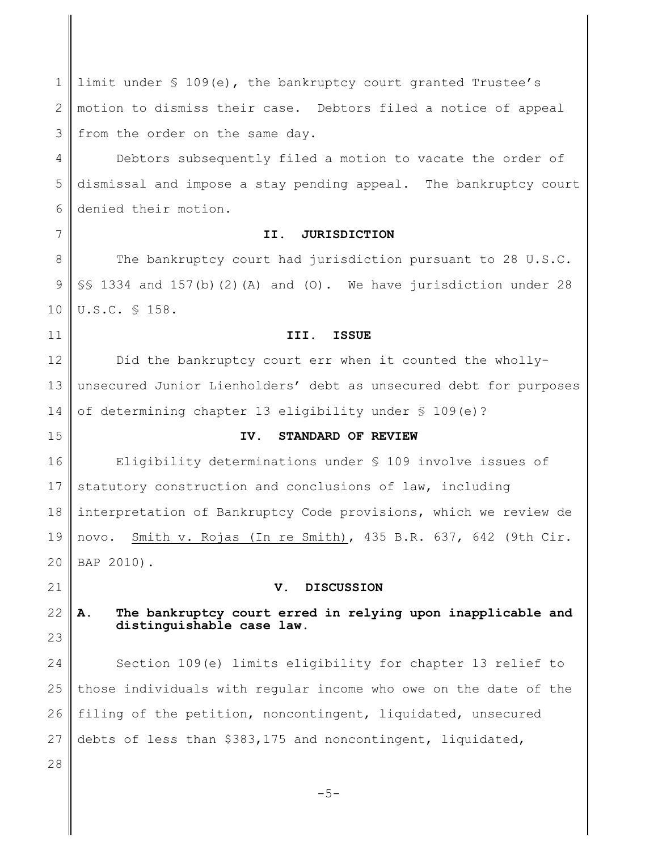1 2 3 limit under § 109(e), the bankruptcy court granted Trustee's motion to dismiss their case. Debtors filed a notice of appeal from the order on the same day.

4 5 6 Debtors subsequently filed a motion to vacate the order of dismissal and impose a stay pending appeal. The bankruptcy court denied their motion.

7

# **II. JURISDICTION**

8 9 10 The bankruptcy court had jurisdiction pursuant to 28 U.S.C.  $\S$ § 1334 and 157(b)(2)(A) and (O). We have jurisdiction under 28 U.S.C. § 158.

#### **III. ISSUE**

12 13 14 Did the bankruptcy court err when it counted the whollyunsecured Junior Lienholders' debt as unsecured debt for purposes of determining chapter 13 eligibility under § 109(e)?

15

11

## **IV. STANDARD OF REVIEW**

16 17 18 19 20 Eligibility determinations under § 109 involve issues of statutory construction and conclusions of law, including interpretation of Bankruptcy Code provisions, which we review de novo. Smith v. Rojas (In re Smith), 435 B.R. 637, 642 (9th Cir. BAP 2010).

21

### **V. DISCUSSION**

22 23 **A. The bankruptcy court erred in relying upon inapplicable and distinguishable case law.**

24 25 26 27 Section 109(e) limits eligibility for chapter 13 relief to those individuals with regular income who owe on the date of the filing of the petition, noncontingent, liquidated, unsecured debts of less than \$383,175 and noncontingent, liquidated,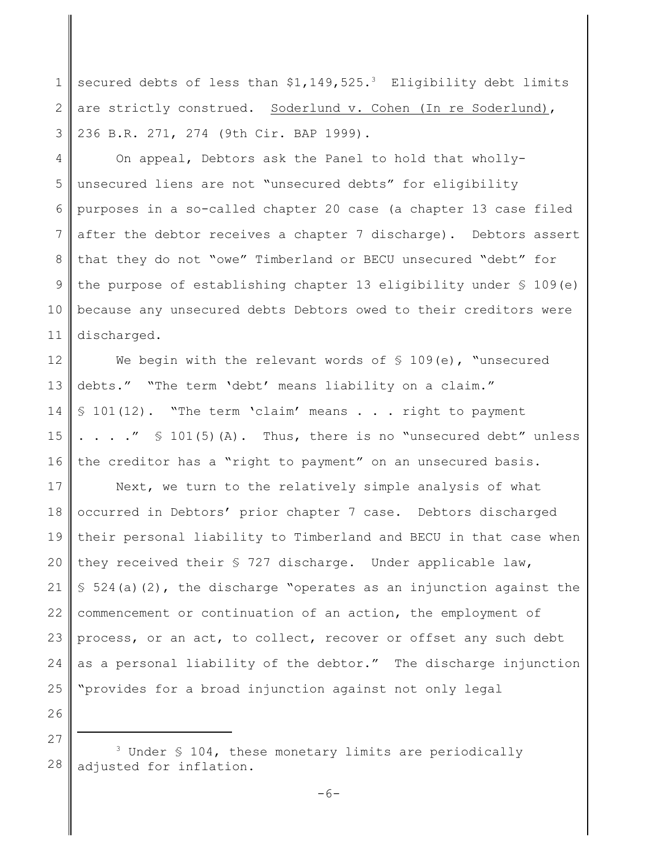1 2 3 secured debts of less than  $$1,149,525.^3$  Eligibility debt limits are strictly construed. Soderlund v. Cohen (In re Soderlund), 236 B.R. 271, 274 (9th Cir. BAP 1999).

4 5 6 7 8 9 10 11 On appeal, Debtors ask the Panel to hold that whollyunsecured liens are not "unsecured debts" for eligibility purposes in a so-called chapter 20 case (a chapter 13 case filed after the debtor receives a chapter 7 discharge). Debtors assert that they do not "owe" Timberland or BECU unsecured "debt" for the purpose of establishing chapter 13 eligibility under  $\S$  109(e) because any unsecured debts Debtors owed to their creditors were discharged.

12 13 14 15 16 We begin with the relevant words of  $\S$  109(e), "unsecured debts." "The term 'debt' means liability on a claim." § 101(12). "The term 'claim' means . . . right to payment  $\ldots$  . . .  $\prime\prime$   $\lceil$   $\lceil$   $\lceil$   $\lceil$   $\lceil$   $\rceil$   $\lceil$   $\lceil$   $\rceil$   $\lceil$   $\lceil$   $\lceil$   $\lceil$   $\rceil$   $\lceil$   $\lceil$   $\rceil$   $\lceil$   $\lceil$   $\rceil$   $\lceil$   $\lceil$   $\rceil$   $\lceil$   $\rceil$   $\lceil$   $\rceil$   $\lceil$   $\rceil$   $\lceil$   $\rceil$   $\lceil$   $\rceil$   $\lceil$   $\rceil$   $\rceil$ the creditor has a "right to payment" on an unsecured basis.

17 18 19 20 21 22 23 24 25 Next, we turn to the relatively simple analysis of what occurred in Debtors' prior chapter 7 case. Debtors discharged their personal liability to Timberland and BECU in that case when they received their  $S$  727 discharge. Under applicable law,  $$524(a)(2)$ , the discharge "operates as an injunction against the commencement or continuation of an action, the employment of process, or an act, to collect, recover or offset any such debt as a personal liability of the debtor." The discharge injunction "provides for a broad injunction against not only legal

<sup>28</sup> <sup>3</sup> Under § 104, these monetary limits are periodically adjusted for inflation.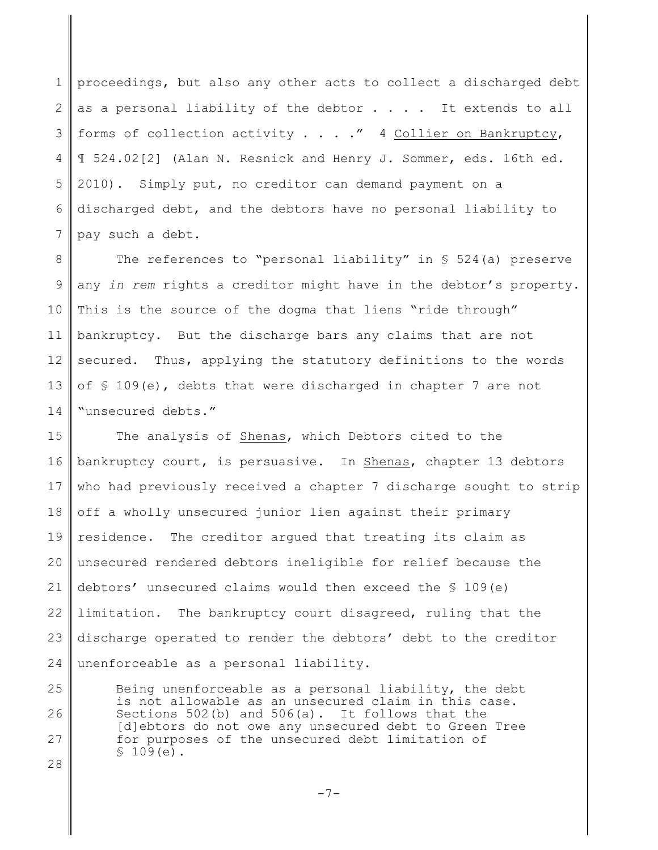1 2 3 4 5 6 7 proceedings, but also any other acts to collect a discharged debt as a personal liability of the debtor  $\ldots$ . It extends to all forms of collection activity  $\ldots$  ... " 4 Collier on Bankruptcy, ¶ 524.02[2] (Alan N. Resnick and Henry J. Sommer, eds. 16th ed. 2010). Simply put, no creditor can demand payment on a discharged debt, and the debtors have no personal liability to pay such a debt.

8 9 10 11 12 13 14 The references to "personal liability" in § 524(a) preserve any *in rem* rights a creditor might have in the debtor's property. This is the source of the dogma that liens "ride through" bankruptcy. But the discharge bars any claims that are not secured. Thus, applying the statutory definitions to the words of § 109(e), debts that were discharged in chapter 7 are not "unsecured debts."

15 16 17 18 19 20 21 22 23 24 The analysis of Shenas, which Debtors cited to the bankruptcy court, is persuasive. In Shenas, chapter 13 debtors who had previously received a chapter 7 discharge sought to strip off a wholly unsecured junior lien against their primary residence. The creditor argued that treating its claim as unsecured rendered debtors ineligible for relief because the debtors' unsecured claims would then exceed the  $\S$  109(e) limitation. The bankruptcy court disagreed, ruling that the discharge operated to render the debtors' debt to the creditor unenforceable as a personal liability.

25 26 27 28 Being unenforceable as a personal liability, the debt is not allowable as an unsecured claim in this case. Sections 502(b) and 506(a). It follows that the [d]ebtors do not owe any unsecured debt to Green Tree for purposes of the unsecured debt limitation of  $$109(e)$ .

 $-7-$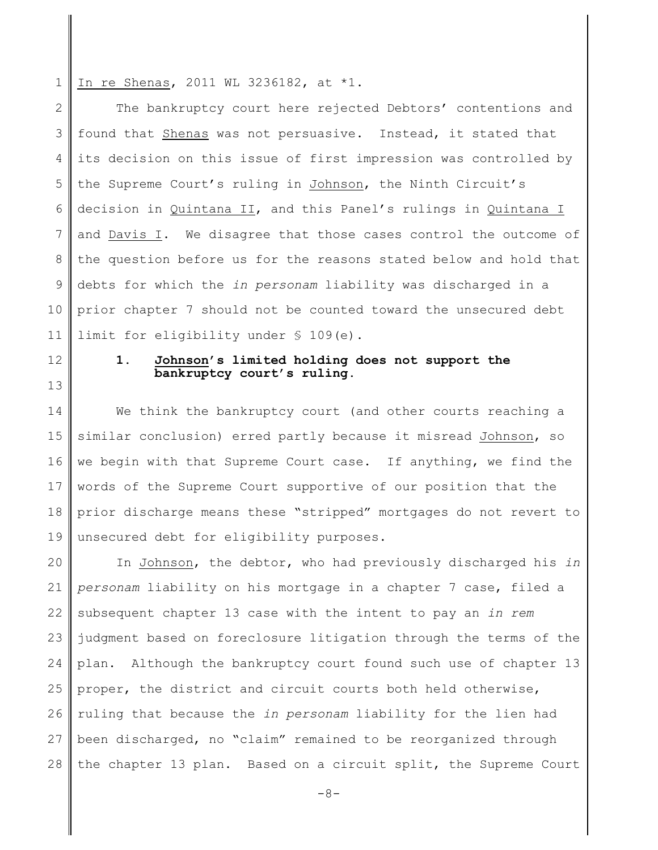1 In re Shenas, 2011 WL 3236182, at \*1.

12

13

2 3 4 5 6 7 8 9 10 11 The bankruptcy court here rejected Debtors' contentions and found that Shenas was not persuasive. Instead, it stated that its decision on this issue of first impression was controlled by the Supreme Court's ruling in Johnson, the Ninth Circuit's decision in Quintana II, and this Panel's rulings in Quintana I and Davis I. We disagree that those cases control the outcome of the question before us for the reasons stated below and hold that debts for which the *in personam* liability was discharged in a prior chapter 7 should not be counted toward the unsecured debt limit for eligibility under § 109(e).

> **1. Johnson's limited holding does not support the bankruptcy court's ruling.**

14 15 16 17 18 19 We think the bankruptcy court (and other courts reaching a similar conclusion) erred partly because it misread Johnson, so we begin with that Supreme Court case. If anything, we find the words of the Supreme Court supportive of our position that the prior discharge means these "stripped" mortgages do not revert to unsecured debt for eligibility purposes.

20 21 22 23 24 25 26 27 28 In Johnson, the debtor, who had previously discharged his *in personam* liability on his mortgage in a chapter 7 case, filed a subsequent chapter 13 case with the intent to pay an *in rem* judgment based on foreclosure litigation through the terms of the plan. Although the bankruptcy court found such use of chapter 13 proper, the district and circuit courts both held otherwise, ruling that because the *in personam* liability for the lien had been discharged, no "claim" remained to be reorganized through the chapter 13 plan. Based on a circuit split, the Supreme Court

 $-8-$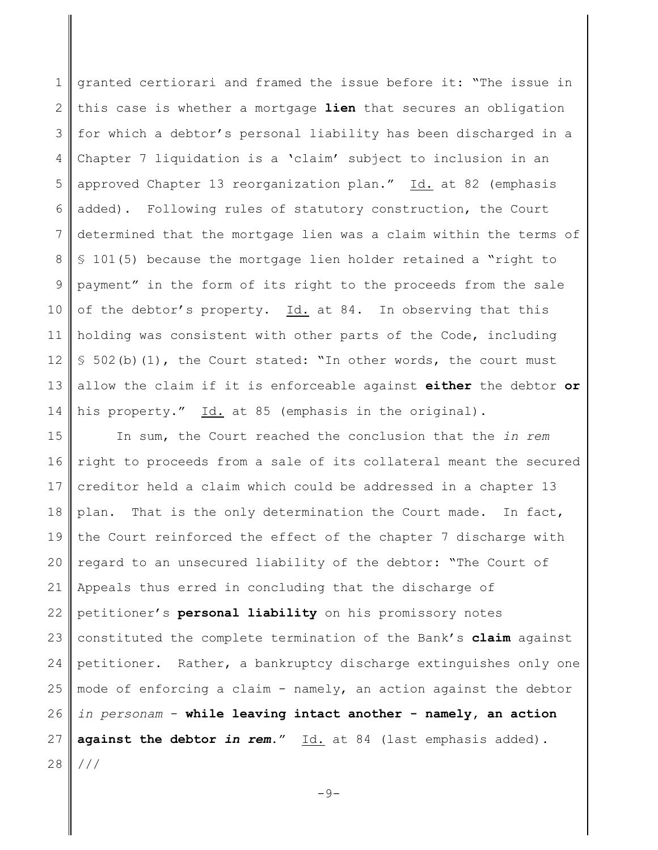1 2 3 4 5 6 7 8 9 10 11 12 13 14 granted certiorari and framed the issue before it: "The issue in this case is whether a mortgage **lien** that secures an obligation for which a debtor's personal liability has been discharged in a Chapter 7 liquidation is a 'claim' subject to inclusion in an approved Chapter 13 reorganization plan." Id. at 82 (emphasis added). Following rules of statutory construction, the Court determined that the mortgage lien was a claim within the terms of § 101(5) because the mortgage lien holder retained a "right to payment" in the form of its right to the proceeds from the sale of the debtor's property. Id. at 84. In observing that this holding was consistent with other parts of the Code, including  $$502(b)(1)$ , the Court stated: "In other words, the court must allow the claim if it is enforceable against **either** the debtor **or** his property." Id. at 85 (emphasis in the original).

15 16 17 18 19 20 21 22 23 24 25 26 27 28 In sum, the Court reached the conclusion that the *in rem* right to proceeds from a sale of its collateral meant the secured creditor held a claim which could be addressed in a chapter 13 plan. That is the only determination the Court made. In fact, the Court reinforced the effect of the chapter 7 discharge with regard to an unsecured liability of the debtor: "The Court of Appeals thus erred in concluding that the discharge of petitioner's **personal liability** on his promissory notes constituted the complete termination of the Bank's **claim** against petitioner. Rather, a bankruptcy discharge extinguishes only one mode of enforcing a claim - namely, an action against the debtor *in personam* - **while leaving intact another - namely, an action** against the debtor *in rem*." Id. at 84 (last emphasis added). ///

 $-9-$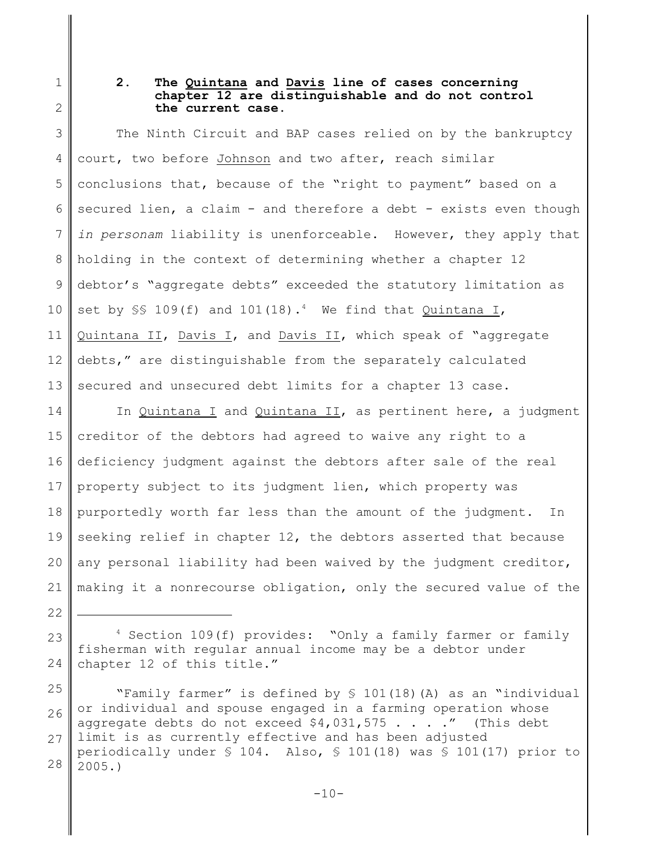1 2

22

# **2. The Quintana and Davis line of cases concerning chapter 12 are distinguishable and do not control the current case.**

3 4 5 6 7 8 9 10 11 12 13 The Ninth Circuit and BAP cases relied on by the bankruptcy court, two before Johnson and two after, reach similar conclusions that, because of the "right to payment" based on a secured lien, a claim - and therefore a debt - exists even though *in personam* liability is unenforceable. However, they apply that holding in the context of determining whether a chapter 12 debtor's "aggregate debts" exceeded the statutory limitation as set by  $\S$  109(f) and 101(18).<sup>4</sup> We find that Quintana I, Quintana II, Davis I, and Davis II, which speak of "aggregate debts," are distinguishable from the separately calculated secured and unsecured debt limits for a chapter 13 case.

14 15 16 17 18 19 20 21 In Quintana I and Quintana II, as pertinent here, a judgment creditor of the debtors had agreed to waive any right to a deficiency judgment against the debtors after sale of the real property subject to its judgment lien, which property was purportedly worth far less than the amount of the judgment. In seeking relief in chapter 12, the debtors asserted that because any personal liability had been waived by the judgment creditor, making it a nonrecourse obligation, only the secured value of the

23 24 <sup>4</sup> Section 109(f) provides: "Only a family farmer or family fisherman with regular annual income may be a debtor under chapter 12 of this title."

25 26 27 28 "Family farmer" is defined by § 101(18)(A) as an "individual or individual and spouse engaged in a farming operation whose aggregate debts do not exceed  $$4,031,575$  . . . . " (This debt limit is as currently effective and has been adjusted periodically under  $\S$  104. Also,  $\S$  101(18) was  $\S$  101(17) prior to 2005.)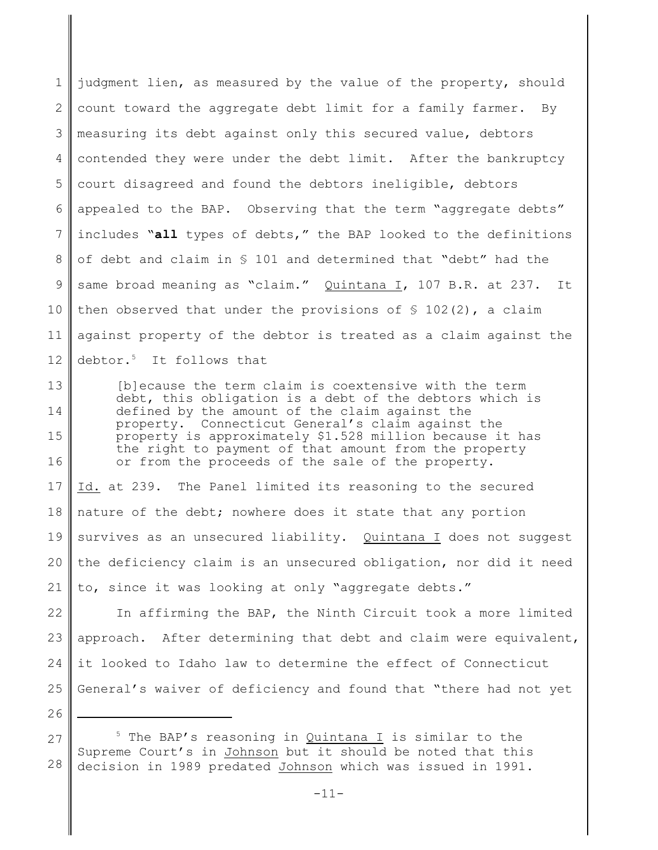1 2 3 4 5 6 7 8 9 10 11 12 judgment lien, as measured by the value of the property, should count toward the aggregate debt limit for a family farmer. By measuring its debt against only this secured value, debtors contended they were under the debt limit. After the bankruptcy court disagreed and found the debtors ineligible, debtors appealed to the BAP. Observing that the term "aggregate debts" includes "**all** types of debts," the BAP looked to the definitions of debt and claim in § 101 and determined that "debt" had the same broad meaning as "claim." Quintana I, 107 B.R. at 237. It then observed that under the provisions of  $\frac{1}{2}$  102(2), a claim against property of the debtor is treated as a claim against the debtor.<sup>5</sup> It follows that

13 14 15 16 [b]ecause the term claim is coextensive with the term debt, this obligation is a debt of the debtors which is defined by the amount of the claim against the property. Connecticut General's claim against the property is approximately \$1.528 million because it has the right to payment of that amount from the property or from the proceeds of the sale of the property.

17 18 19 20 21 Id. at 239. The Panel limited its reasoning to the secured nature of the debt; nowhere does it state that any portion survives as an unsecured liability. Quintana I does not suggest the deficiency claim is an unsecured obligation, nor did it need to, since it was looking at only "aggregate debts."

22 23 24 25 In affirming the BAP, the Ninth Circuit took a more limited approach. After determining that debt and claim were equivalent, it looked to Idaho law to determine the effect of Connecticut General's waiver of deficiency and found that "there had not yet

<sup>28</sup> <sup>5</sup> The BAP's reasoning in Quintana I is similar to the Supreme Court's in Johnson but it should be noted that this decision in 1989 predated Johnson which was issued in 1991.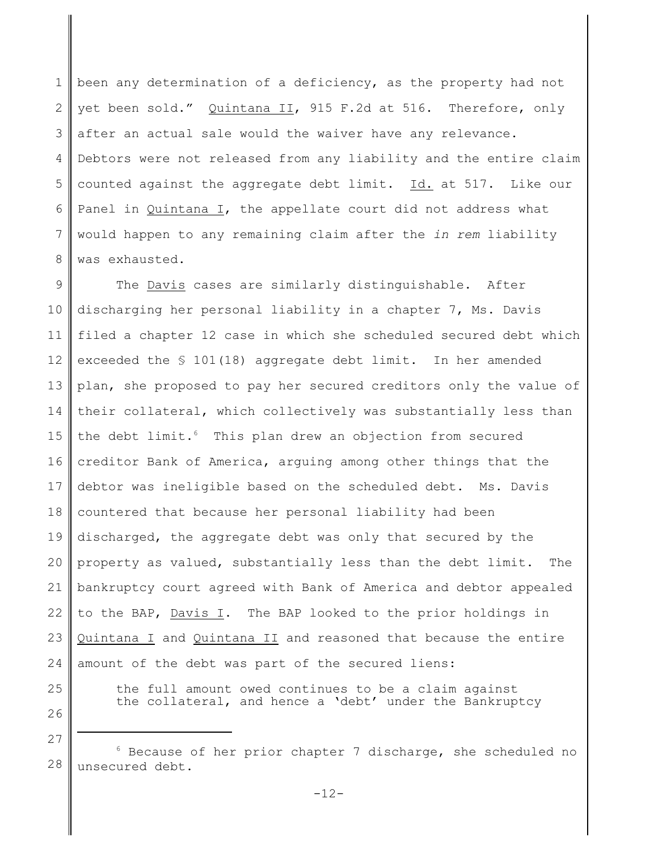1 2 3 4 5 6 7 8 been any determination of a deficiency, as the property had not yet been sold." Quintana II, 915 F.2d at 516. Therefore, only after an actual sale would the waiver have any relevance. Debtors were not released from any liability and the entire claim counted against the aggregate debt limit. Id. at 517. Like our Panel in Quintana I, the appellate court did not address what would happen to any remaining claim after the *in rem* liability was exhausted.

9 10 11 12 13 14 15 16 17 18 19 20 21 22 23 24 The Davis cases are similarly distinguishable. After discharging her personal liability in a chapter 7, Ms. Davis filed a chapter 12 case in which she scheduled secured debt which exceeded the § 101(18) aggregate debt limit. In her amended plan, she proposed to pay her secured creditors only the value of their collateral, which collectively was substantially less than the debt limit.<sup>6</sup> This plan drew an objection from secured creditor Bank of America, arguing among other things that the debtor was ineligible based on the scheduled debt. Ms. Davis countered that because her personal liability had been discharged, the aggregate debt was only that secured by the property as valued, substantially less than the debt limit. The bankruptcy court agreed with Bank of America and debtor appealed to the BAP, Davis I. The BAP looked to the prior holdings in Quintana I and Quintana II and reasoned that because the entire amount of the debt was part of the secured liens:

25 26 the full amount owed continues to be a claim against the collateral, and hence a 'debt' under the Bankruptcy

<sup>28</sup>  $6$  Because of her prior chapter 7 discharge, she scheduled no unsecured debt.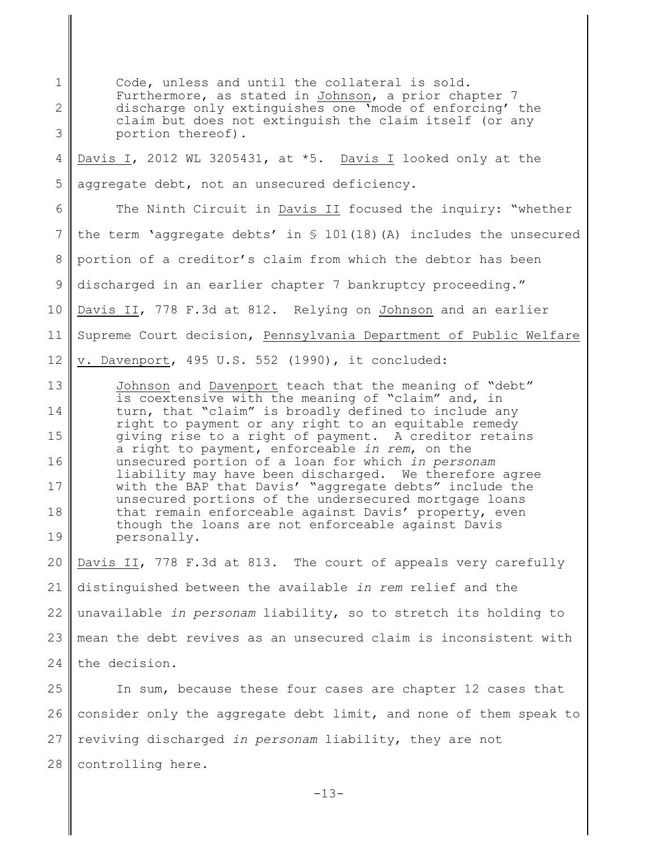1 2 3 4 5 6 7 8 9 10 11 12 13 14 15 16 17 18 19 20 21 22 23 24 Code, unless and until the collateral is sold. Furthermore, as stated in Johnson, a prior chapter 7 discharge only extinguishes one 'mode of enforcing' the claim but does not extinguish the claim itself (or any portion thereof). Davis I, 2012 WL 3205431, at \*5. Davis I looked only at the aggregate debt, not an unsecured deficiency. The Ninth Circuit in Davis II focused the inquiry: "whether the term 'aggregate debts' in § 101(18)(A) includes the unsecured portion of a creditor's claim from which the debtor has been discharged in an earlier chapter 7 bankruptcy proceeding." Davis II, 778 F.3d at 812. Relying on Johnson and an earlier Supreme Court decision, Pennsylvania Department of Public Welfare v. Davenport, 495 U.S. 552 (1990), it concluded: Johnson and Davenport teach that the meaning of "debt" is coextensive with the meaning of "claim" and, in turn, that "claim" is broadly defined to include any right to payment or any right to an equitable remedy giving rise to a right of payment. A creditor retains a right to payment, enforceable *in rem*, on the unsecured portion of a loan for which *in personam* liability may have been discharged. We therefore agree with the BAP that Davis' "aggregate debts" include the unsecured portions of the undersecured mortgage loans that remain enforceable against Davis' property, even though the loans are not enforceable against Davis personally. Davis II, 778 F.3d at 813. The court of appeals very carefully distinguished between the available *in rem* relief and the unavailable *in personam* liability, so to stretch its holding to mean the debt revives as an unsecured claim is inconsistent with the decision.

25 26 27 28 In sum, because these four cases are chapter 12 cases that consider only the aggregate debt limit, and none of them speak to reviving discharged *in personam* liability, they are not controlling here.

 $-13-$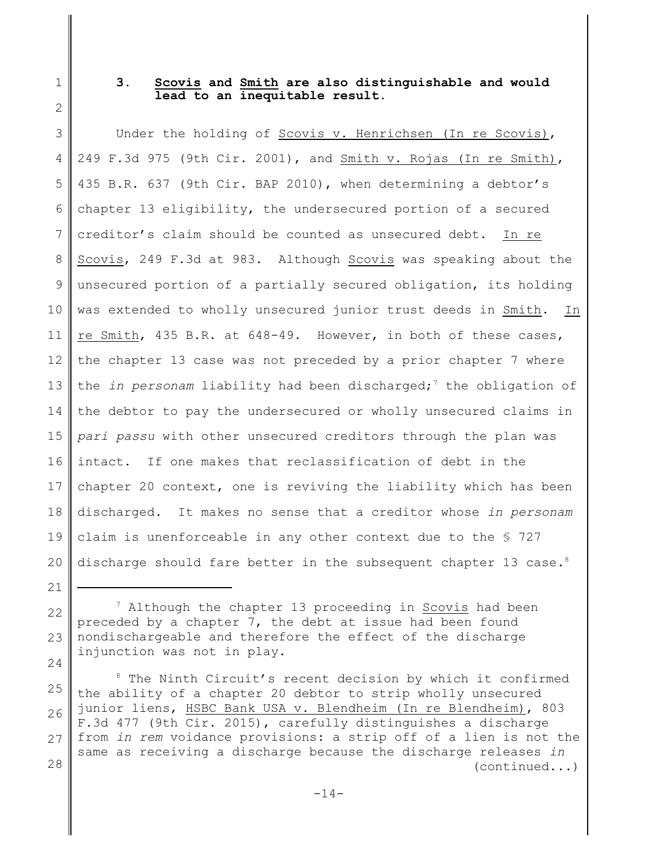1 2

21

# **3. Scovis and Smith are also distinguishable and would lead to an inequitable result.**

3 4 5 6 7 8 9 10 11 12 13 14 15 16 17 18 19 20 Under the holding of Scovis v. Henrichsen (In re Scovis), 249 F.3d 975 (9th Cir. 2001), and Smith v. Rojas (In re Smith), 435 B.R. 637 (9th Cir. BAP 2010), when determining a debtor's chapter 13 eligibility, the undersecured portion of a secured creditor's claim should be counted as unsecured debt. In re Scovis, 249 F.3d at 983. Although Scovis was speaking about the unsecured portion of a partially secured obligation, its holding was extended to wholly unsecured junior trust deeds in Smith. In re Smith, 435 B.R. at 648-49. However, in both of these cases, the chapter 13 case was not preceded by a prior chapter 7 where the *in personam* liability had been discharged;<sup>7</sup> the obligation of the debtor to pay the undersecured or wholly unsecured claims in *pari passu* with other unsecured creditors through the plan was intact. If one makes that reclassification of debt in the chapter 20 context, one is reviving the liability which has been discharged. It makes no sense that a creditor whose *in personam* claim is unenforceable in any other context due to the § 727 discharge should fare better in the subsequent chapter 13 case.<sup>8</sup>

<sup>22</sup> 23 24  $7$  Although the chapter 13 proceeding in Scovis had been preceded by a chapter 7, the debt at issue had been found nondischargeable and therefore the effect of the discharge injunction was not in play.

<sup>25</sup> 26 27 28 <sup>8</sup> The Ninth Circuit's recent decision by which it confirmed the ability of a chapter 20 debtor to strip wholly unsecured junior liens, HSBC Bank USA v. Blendheim (In re Blendheim), 803 F.3d 477 (9th Cir. 2015), carefully distinguishes a discharge from *in rem* voidance provisions: a strip off of a lien is not the same as receiving a discharge because the discharge releases *in* (continued...)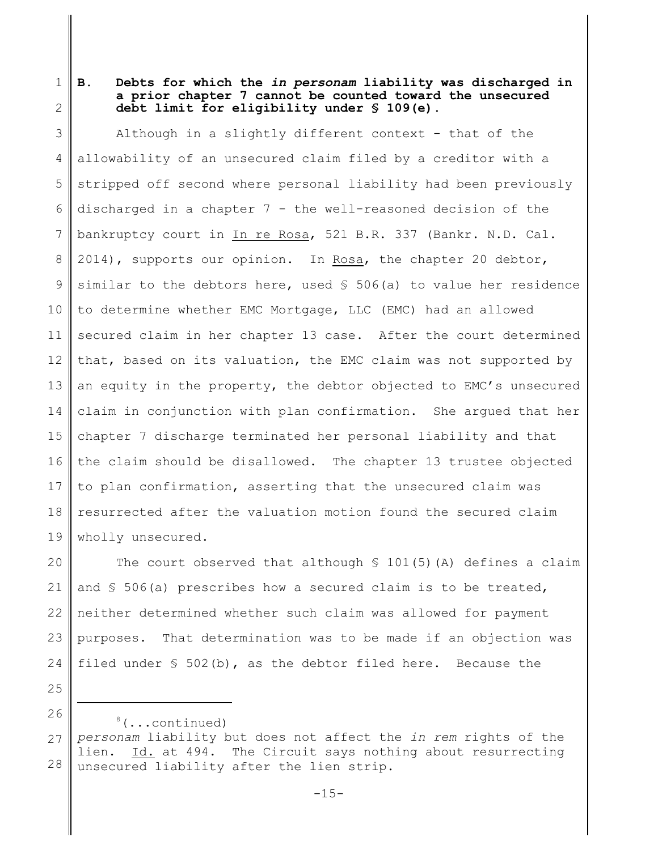2 **B. Debts for which the** *in personam* **liability was discharged in a prior chapter 7 cannot be counted toward the unsecured debt limit for eligibility under § 109(e).**

3 4 5 6 7 8 9 10 11 12 13 14 15 16 17 18 19 Although in a slightly different context - that of the allowability of an unsecured claim filed by a creditor with a stripped off second where personal liability had been previously discharged in a chapter 7 - the well-reasoned decision of the bankruptcy court in In re Rosa, 521 B.R. 337 (Bankr. N.D. Cal. 2014), supports our opinion. In Rosa, the chapter 20 debtor, similar to the debtors here, used  $S$  506(a) to value her residence to determine whether EMC Mortgage, LLC (EMC) had an allowed secured claim in her chapter 13 case. After the court determined that, based on its valuation, the EMC claim was not supported by an equity in the property, the debtor objected to EMC's unsecured claim in conjunction with plan confirmation. She argued that her chapter 7 discharge terminated her personal liability and that the claim should be disallowed. The chapter 13 trustee objected to plan confirmation, asserting that the unsecured claim was resurrected after the valuation motion found the secured claim wholly unsecured.

20 21 22 23 24 The court observed that although  $$101(5)$  (A) defines a claim and  $\frac{1}{5}$  506(a) prescribes how a secured claim is to be treated, neither determined whether such claim was allowed for payment purposes. That determination was to be made if an objection was filed under  $\frac{6}{5}$  502(b), as the debtor filed here. Because the

25

<sup>26</sup> 27 28  $8$ (...continued) *personam* liability but does not affect the *in rem* rights of the lien. Id. at 494. The Circuit says nothing about resurrecting unsecured liability after the lien strip.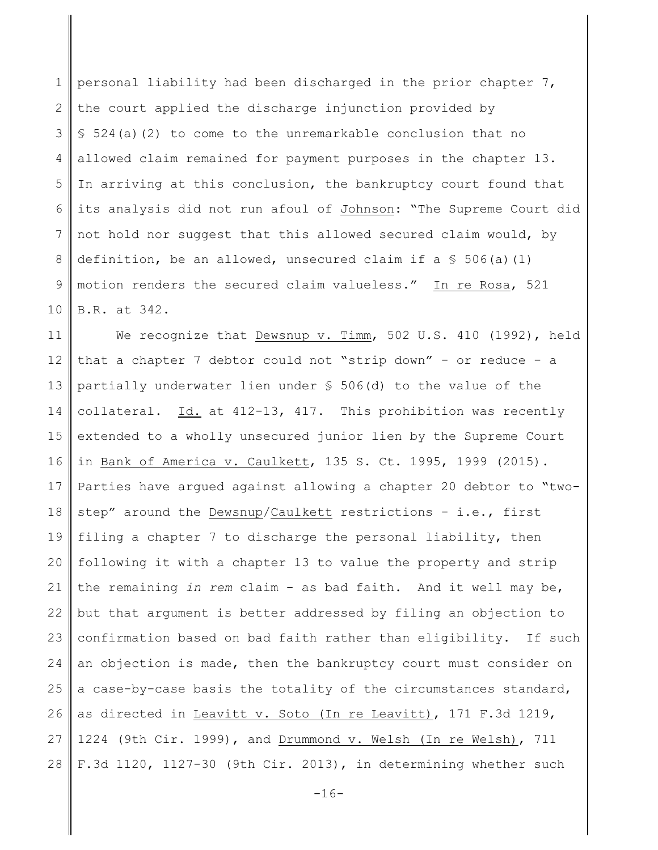1 2 3 4 5 6 7 8 9 10 personal liability had been discharged in the prior chapter 7, the court applied the discharge injunction provided by  $$524(a)(2)$  to come to the unremarkable conclusion that no allowed claim remained for payment purposes in the chapter 13. In arriving at this conclusion, the bankruptcy court found that its analysis did not run afoul of Johnson: "The Supreme Court did not hold nor suggest that this allowed secured claim would, by definition, be an allowed, unsecured claim if a  $\frac{1}{5}$  506(a)(1) motion renders the secured claim valueless." In re Rosa, 521 B.R. at 342.

11 12 13 14 15 16 17 18 19 20 21 22 23 24 25 26 27 28 We recognize that Dewsnup v. Timm, 502 U.S. 410 (1992), held that a chapter 7 debtor could not "strip down" - or reduce - a partially underwater lien under § 506(d) to the value of the collateral. Id. at 412-13, 417. This prohibition was recently extended to a wholly unsecured junior lien by the Supreme Court in Bank of America v. Caulkett, 135 S. Ct. 1995, 1999 (2015). Parties have argued against allowing a chapter 20 debtor to "twostep" around the Dewsnup/Caulkett restrictions - i.e., first filing a chapter 7 to discharge the personal liability, then following it with a chapter 13 to value the property and strip the remaining *in rem* claim - as bad faith. And it well may be, but that argument is better addressed by filing an objection to confirmation based on bad faith rather than eligibility. If such an objection is made, then the bankruptcy court must consider on a case-by-case basis the totality of the circumstances standard, as directed in Leavitt v. Soto (In re Leavitt), 171 F.3d 1219, 1224 (9th Cir. 1999), and Drummond v. Welsh (In re Welsh), 711 F.3d 1120, 1127-30 (9th Cir. 2013), in determining whether such

 $-16-$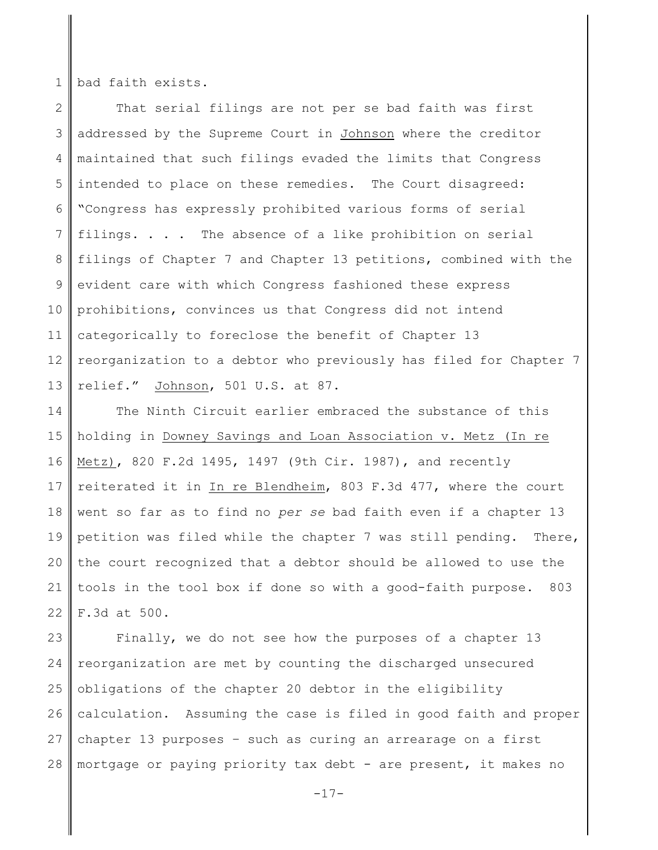1 bad faith exists.

2 3 4 5 6 7 8 9 10 11 12 13 That serial filings are not per se bad faith was first addressed by the Supreme Court in Johnson where the creditor maintained that such filings evaded the limits that Congress intended to place on these remedies. The Court disagreed: "Congress has expressly prohibited various forms of serial filings. . . . The absence of a like prohibition on serial filings of Chapter 7 and Chapter 13 petitions, combined with the evident care with which Congress fashioned these express prohibitions, convinces us that Congress did not intend categorically to foreclose the benefit of Chapter 13 reorganization to a debtor who previously has filed for Chapter 7 relief." Johnson, 501 U.S. at 87.

14 15 16 17 18 19 20 21 22 The Ninth Circuit earlier embraced the substance of this holding in Downey Savings and Loan Association v. Metz (In re Metz), 820 F.2d 1495, 1497 (9th Cir. 1987), and recently reiterated it in In re Blendheim, 803 F.3d 477, where the court went so far as to find no *per se* bad faith even if a chapter 13 petition was filed while the chapter 7 was still pending. There, the court recognized that a debtor should be allowed to use the tools in the tool box if done so with a good-faith purpose. 803 F.3d at 500.

23 24 25 26 27 28 Finally, we do not see how the purposes of a chapter 13 reorganization are met by counting the discharged unsecured obligations of the chapter 20 debtor in the eligibility calculation. Assuming the case is filed in good faith and proper chapter 13 purposes – such as curing an arrearage on a first mortgage or paying priority tax debt - are present, it makes no

-17-